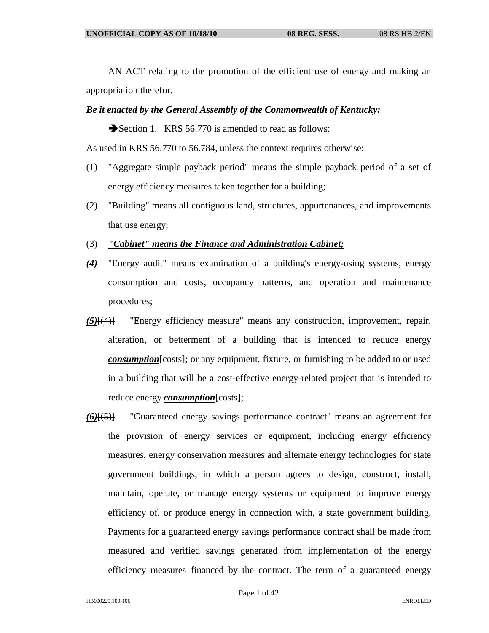AN ACT relating to the promotion of the efficient use of energy and making an appropriation therefor.

#### *Be it enacted by the General Assembly of the Commonwealth of Kentucky:*

Section 1. KRS 56.770 is amended to read as follows:

As used in KRS 56.770 to 56.784, unless the context requires otherwise:

- (1) "Aggregate simple payback period" means the simple payback period of a set of energy efficiency measures taken together for a building;
- (2) "Building" means all contiguous land, structures, appurtenances, and improvements that use energy;
- (3) *"Cabinet" means the Finance and Administration Cabinet;*
- *(4)* "Energy audit" means examination of a building's energy-using systems, energy consumption and costs, occupancy patterns, and operation and maintenance procedures;
- *(5)*[(4)] "Energy efficiency measure" means any construction, improvement, repair, alteration, or betterment of a building that is intended to reduce energy *consumption* [costs]; or any equipment, fixture, or furnishing to be added to or used in a building that will be a cost-effective energy-related project that is intended to reduce energy *consumption* [costs];
- *(6)*[(5)] "Guaranteed energy savings performance contract" means an agreement for the provision of energy services or equipment, including energy efficiency measures, energy conservation measures and alternate energy technologies for state government buildings, in which a person agrees to design, construct, install, maintain, operate, or manage energy systems or equipment to improve energy efficiency of, or produce energy in connection with, a state government building. Payments for a guaranteed energy savings performance contract shall be made from measured and verified savings generated from implementation of the energy efficiency measures financed by the contract. The term of a guaranteed energy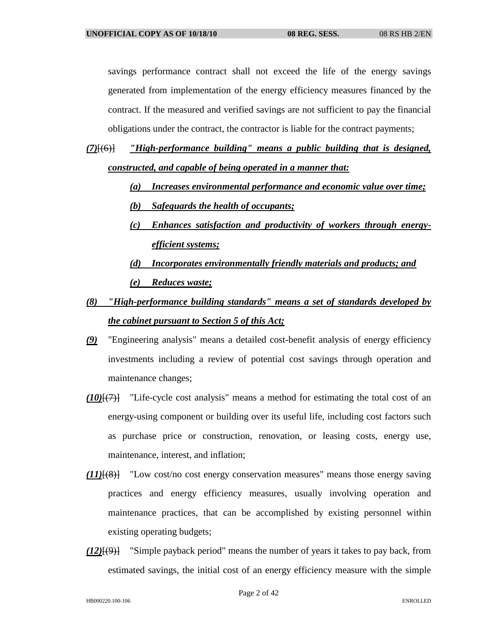savings performance contract shall not exceed the life of the energy savings generated from implementation of the energy efficiency measures financed by the contract. If the measured and verified savings are not sufficient to pay the financial obligations under the contract, the contractor is liable for the contract payments;

- *(7)*[(6)] *"High-performance building" means a public building that is designed, constructed, and capable of being operated in a manner that:* 
	- *(a) Increases environmental performance and economic value over time;*
	- *(b) Safeguards the health of occupants;*
	- *(c) Enhances satisfaction and productivity of workers through energyefficient systems;*
	- *(d) Incorporates environmentally friendly materials and products; and (e) Reduces waste;*
- *(8) "High-performance building standards" means a set of standards developed by the cabinet pursuant to Section 5 of this Act;*
- *(9)* "Engineering analysis" means a detailed cost-benefit analysis of energy efficiency investments including a review of potential cost savings through operation and maintenance changes;
- *(10)*[(7)] "Life-cycle cost analysis" means a method for estimating the total cost of an energy-using component or building over its useful life, including cost factors such as purchase price or construction, renovation, or leasing costs, energy use, maintenance, interest, and inflation;
- *(11)*[(8)] "Low cost/no cost energy conservation measures" means those energy saving practices and energy efficiency measures, usually involving operation and maintenance practices, that can be accomplished by existing personnel within existing operating budgets;
- *(12)*[(9)] "Simple payback period" means the number of years it takes to pay back, from estimated savings, the initial cost of an energy efficiency measure with the simple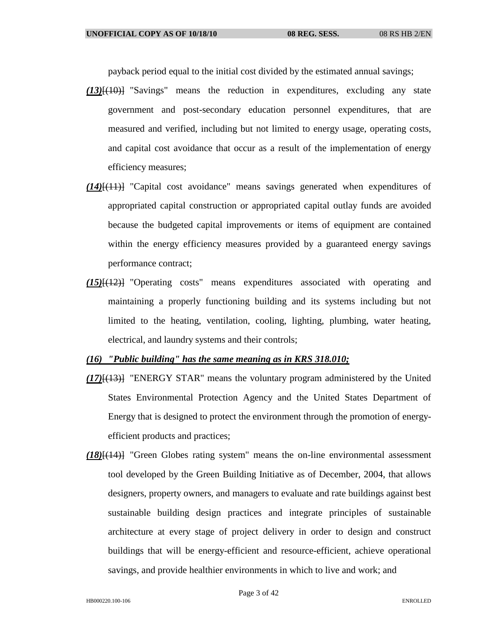payback period equal to the initial cost divided by the estimated annual savings;

- *(13)*[(10)] "Savings" means the reduction in expenditures, excluding any state government and post-secondary education personnel expenditures, that are measured and verified, including but not limited to energy usage, operating costs, and capital cost avoidance that occur as a result of the implementation of energy efficiency measures;
- *(14)*[(11)] "Capital cost avoidance" means savings generated when expenditures of appropriated capital construction or appropriated capital outlay funds are avoided because the budgeted capital improvements or items of equipment are contained within the energy efficiency measures provided by a guaranteed energy savings performance contract;
- *(15)*[(12)] "Operating costs" means expenditures associated with operating and maintaining a properly functioning building and its systems including but not limited to the heating, ventilation, cooling, lighting, plumbing, water heating, electrical, and laundry systems and their controls;

## *(16) "Public building" has the same meaning as in KRS 318.010;*

- *(17)*[(13)] "ENERGY STAR" means the voluntary program administered by the United States Environmental Protection Agency and the United States Department of Energy that is designed to protect the environment through the promotion of energyefficient products and practices;
- *(18)*[(14)] "Green Globes rating system" means the on-line environmental assessment tool developed by the Green Building Initiative as of December, 2004, that allows designers, property owners, and managers to evaluate and rate buildings against best sustainable building design practices and integrate principles of sustainable architecture at every stage of project delivery in order to design and construct buildings that will be energy-efficient and resource-efficient, achieve operational savings, and provide healthier environments in which to live and work; and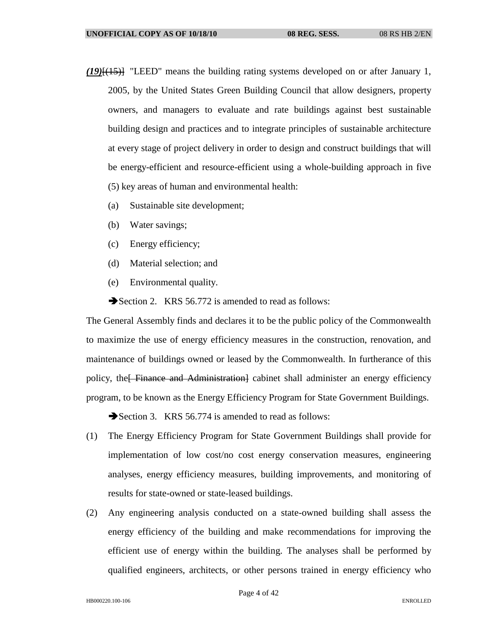- *(19)*[(15)] "LEED" means the building rating systems developed on or after January 1, 2005, by the United States Green Building Council that allow designers, property owners, and managers to evaluate and rate buildings against best sustainable building design and practices and to integrate principles of sustainable architecture at every stage of project delivery in order to design and construct buildings that will be energy-efficient and resource-efficient using a whole-building approach in five (5) key areas of human and environmental health:
	- (a) Sustainable site development;
	- (b) Water savings;
	- (c) Energy efficiency;
	- (d) Material selection; and
	- (e) Environmental quality.

Section 2. KRS 56.772 is amended to read as follows:

The General Assembly finds and declares it to be the public policy of the Commonwealth to maximize the use of energy efficiency measures in the construction, renovation, and maintenance of buildings owned or leased by the Commonwealth. In furtherance of this policy, the Finance and Administration cabinet shall administer an energy efficiency program, to be known as the Energy Efficiency Program for State Government Buildings.

Section 3. KRS 56.774 is amended to read as follows:

- (1) The Energy Efficiency Program for State Government Buildings shall provide for implementation of low cost/no cost energy conservation measures, engineering analyses, energy efficiency measures, building improvements, and monitoring of results for state-owned or state-leased buildings.
- (2) Any engineering analysis conducted on a state-owned building shall assess the energy efficiency of the building and make recommendations for improving the efficient use of energy within the building. The analyses shall be performed by qualified engineers, architects, or other persons trained in energy efficiency who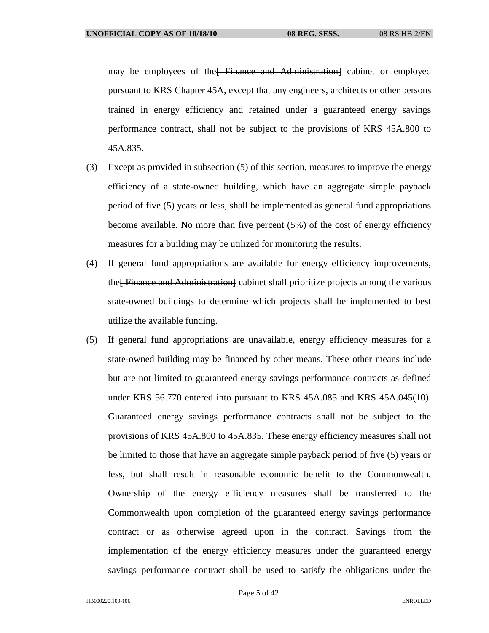may be employees of the Finance and Administration cabinet or employed pursuant to KRS Chapter 45A, except that any engineers, architects or other persons trained in energy efficiency and retained under a guaranteed energy savings performance contract, shall not be subject to the provisions of KRS 45A.800 to 45A.835.

- (3) Except as provided in subsection (5) of this section, measures to improve the energy efficiency of a state-owned building, which have an aggregate simple payback period of five (5) years or less, shall be implemented as general fund appropriations become available. No more than five percent (5%) of the cost of energy efficiency measures for a building may be utilized for monitoring the results.
- (4) If general fund appropriations are available for energy efficiency improvements, the[ Finance and Administration] cabinet shall prioritize projects among the various state-owned buildings to determine which projects shall be implemented to best utilize the available funding.
- (5) If general fund appropriations are unavailable, energy efficiency measures for a state-owned building may be financed by other means. These other means include but are not limited to guaranteed energy savings performance contracts as defined under KRS 56.770 entered into pursuant to KRS 45A.085 and KRS 45A.045(10). Guaranteed energy savings performance contracts shall not be subject to the provisions of KRS 45A.800 to 45A.835. These energy efficiency measures shall not be limited to those that have an aggregate simple payback period of five (5) years or less, but shall result in reasonable economic benefit to the Commonwealth. Ownership of the energy efficiency measures shall be transferred to the Commonwealth upon completion of the guaranteed energy savings performance contract or as otherwise agreed upon in the contract. Savings from the implementation of the energy efficiency measures under the guaranteed energy savings performance contract shall be used to satisfy the obligations under the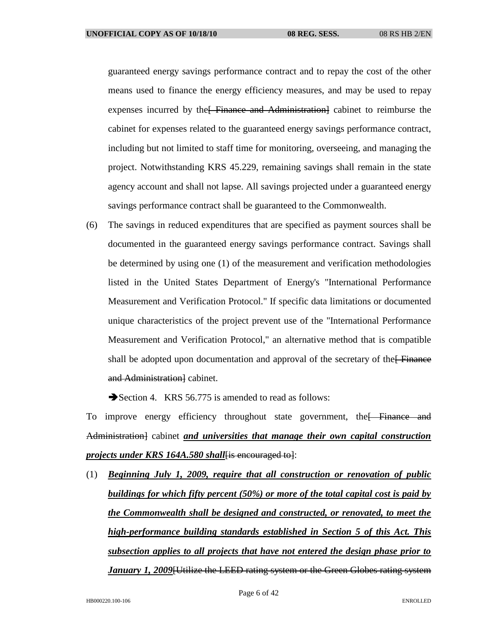guaranteed energy savings performance contract and to repay the cost of the other means used to finance the energy efficiency measures, and may be used to repay expenses incurred by the Finance and Administration cabinet to reimburse the cabinet for expenses related to the guaranteed energy savings performance contract, including but not limited to staff time for monitoring, overseeing, and managing the project. Notwithstanding KRS 45.229, remaining savings shall remain in the state agency account and shall not lapse. All savings projected under a guaranteed energy savings performance contract shall be guaranteed to the Commonwealth.

(6) The savings in reduced expenditures that are specified as payment sources shall be documented in the guaranteed energy savings performance contract. Savings shall be determined by using one (1) of the measurement and verification methodologies listed in the United States Department of Energy's "International Performance Measurement and Verification Protocol." If specific data limitations or documented unique characteristics of the project prevent use of the "International Performance Measurement and Verification Protocol," an alternative method that is compatible shall be adopted upon documentation and approval of the secretary of the  $F$ inance and Administration<sup>1</sup> cabinet.

Section 4. KRS 56.775 is amended to read as follows:

To improve energy efficiency throughout state government, the Finance and Administration] cabinet *and universities that manage their own capital construction projects under KRS 164A.580 shall*[is encouraged to]:

(1) *Beginning July 1, 2009, require that all construction or renovation of public buildings for which fifty percent (50%) or more of the total capital cost is paid by the Commonwealth shall be designed and constructed, or renovated, to meet the high-performance building standards established in Section 5 of this Act. This subsection applies to all projects that have not entered the design phase prior to January 1, 2009*[Utilize the LEED rating system or the Green Globes rating system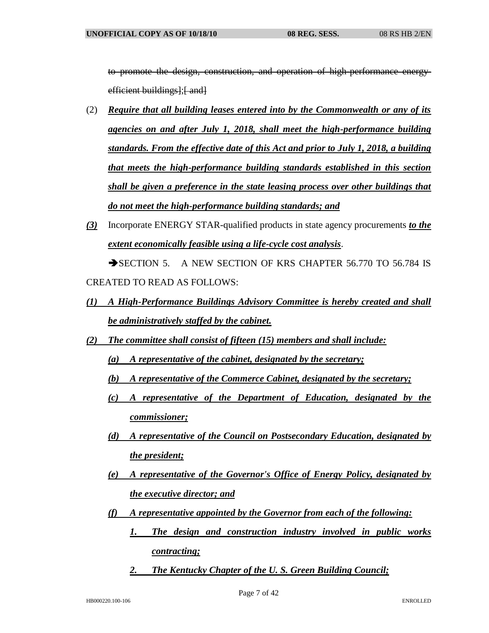to promote the design, construction, and operation of high-performance energyefficient buildings];[ and]

- (2) *Require that all building leases entered into by the Commonwealth or any of its agencies on and after July 1, 2018, shall meet the high-performance building standards. From the effective date of this Act and prior to July 1, 2018, a building that meets the high-performance building standards established in this section shall be given a preference in the state leasing process over other buildings that do not meet the high-performance building standards; and*
- *(3)* Incorporate ENERGY STAR-qualified products in state agency procurements *to the extent economically feasible using a life-cycle cost analysis*.

SECTION 5. A NEW SECTION OF KRS CHAPTER 56.770 TO 56.784 IS CREATED TO READ AS FOLLOWS:

- *(1) A High-Performance Buildings Advisory Committee is hereby created and shall be administratively staffed by the cabinet.*
- *(2) The committee shall consist of fifteen (15) members and shall include:*
	- *(a) A representative of the cabinet, designated by the secretary;*
	- *(b) A representative of the Commerce Cabinet, designated by the secretary;*
	- *(c) A representative of the Department of Education, designated by the commissioner;*
	- *(d) A representative of the Council on Postsecondary Education, designated by the president;*
	- *(e) A representative of the Governor's Office of Energy Policy, designated by the executive director; and*
	- *(f) A representative appointed by the Governor from each of the following:*
		- *1. The design and construction industry involved in public works contracting;*
		- *2. The Kentucky Chapter of the U. S. Green Building Council;*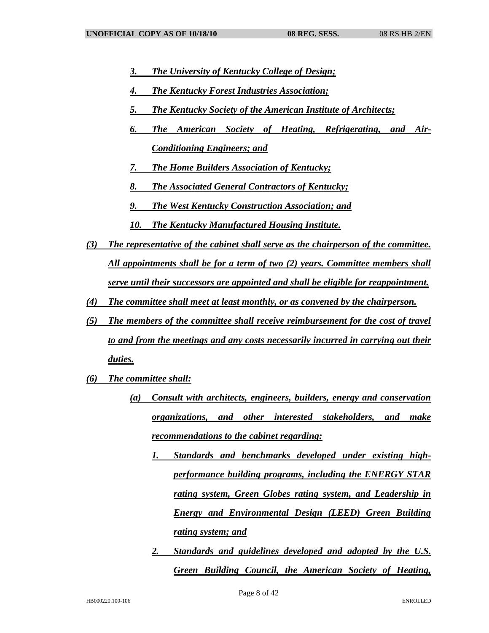- *3. The University of Kentucky College of Design;*
- *4. The Kentucky Forest Industries Association;*
- *5. The Kentucky Society of the American Institute of Architects;*
- *6. The American Society of Heating, Refrigerating, and Air-Conditioning Engineers; and*
- *7. The Home Builders Association of Kentucky;*
- *8. The Associated General Contractors of Kentucky;*
- *9. The West Kentucky Construction Association; and*
- *10. The Kentucky Manufactured Housing Institute.*
- *(3) The representative of the cabinet shall serve as the chairperson of the committee. All appointments shall be for a term of two (2) years. Committee members shall serve until their successors are appointed and shall be eligible for reappointment.*
- *(4) The committee shall meet at least monthly, or as convened by the chairperson.*
- *(5) The members of the committee shall receive reimbursement for the cost of travel to and from the meetings and any costs necessarily incurred in carrying out their duties.*
- *(6) The committee shall:*
	- *(a) Consult with architects, engineers, builders, energy and conservation organizations, and other interested stakeholders, and make recommendations to the cabinet regarding:*
		- *1. Standards and benchmarks developed under existing highperformance building programs, including the ENERGY STAR rating system, Green Globes rating system, and Leadership in Energy and Environmental Design (LEED) Green Building rating system; and*
		- *2. Standards and guidelines developed and adopted by the U.S. Green Building Council, the American Society of Heating,*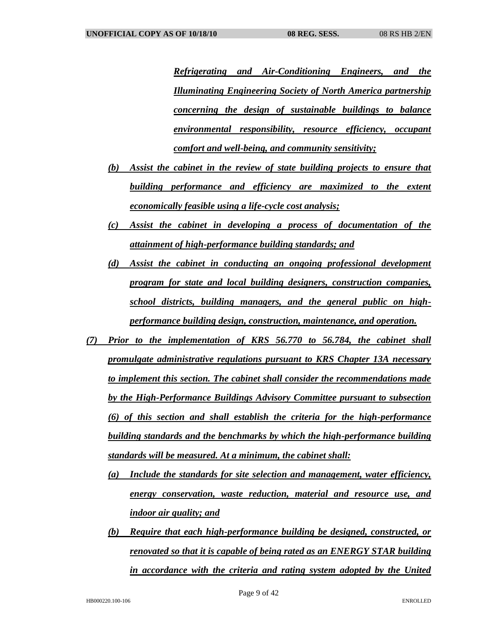*Refrigerating and Air-Conditioning Engineers, and the Illuminating Engineering Society of North America partnership concerning the design of sustainable buildings to balance environmental responsibility, resource efficiency, occupant comfort and well-being, and community sensitivity;*

- *(b) Assist the cabinet in the review of state building projects to ensure that building performance and efficiency are maximized to the extent economically feasible using a life-cycle cost analysis;*
- *(c) Assist the cabinet in developing a process of documentation of the attainment of high-performance building standards; and*
- *(d) Assist the cabinet in conducting an ongoing professional development program for state and local building designers, construction companies, school districts, building managers, and the general public on highperformance building design, construction, maintenance, and operation.*
- *(7) Prior to the implementation of KRS 56.770 to 56.784, the cabinet shall promulgate administrative regulations pursuant to KRS Chapter 13A necessary to implement this section. The cabinet shall consider the recommendations made by the High-Performance Buildings Advisory Committee pursuant to subsection (6) of this section and shall establish the criteria for the high-performance building standards and the benchmarks by which the high-performance building standards will be measured. At a minimum, the cabinet shall:*
	- *(a) Include the standards for site selection and management, water efficiency, energy conservation, waste reduction, material and resource use, and indoor air quality; and*
	- *(b) Require that each high-performance building be designed, constructed, or renovated so that it is capable of being rated as an ENERGY STAR building in accordance with the criteria and rating system adopted by the United*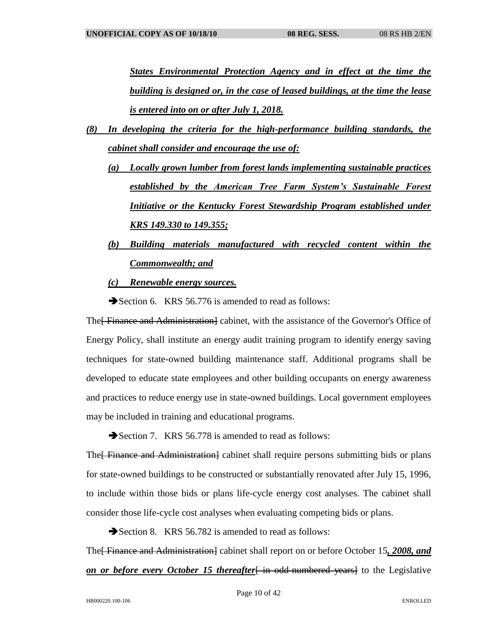*States Environmental Protection Agency and in effect at the time the building is designed or, in the case of leased buildings, at the time the lease is entered into on or after July 1, 2018.*

- *(8) In developing the criteria for the high-performance building standards, the cabinet shall consider and encourage the use of:*
	- *(a) Locally grown lumber from forest lands implementing sustainable practices established by the American Tree Farm System's Sustainable Forest Initiative or the Kentucky Forest Stewardship Program established under KRS 149.330 to 149.355;*
	- *(b) Building materials manufactured with recycled content within the Commonwealth; and*
	- *(c) Renewable energy sources.*

Section 6. KRS 56.776 is amended to read as follows:

The Finance and Administration cabinet, with the assistance of the Governor's Office of Energy Policy, shall institute an energy audit training program to identify energy saving techniques for state-owned building maintenance staff. Additional programs shall be developed to educate state employees and other building occupants on energy awareness and practices to reduce energy use in state-owned buildings. Local government employees may be included in training and educational programs.

Section 7. KRS 56.778 is amended to read as follows:

The Finance and Administration cabinet shall require persons submitting bids or plans for state-owned buildings to be constructed or substantially renovated after July 15, 1996, to include within those bids or plans life-cycle energy cost analyses. The cabinet shall consider those life-cycle cost analyses when evaluating competing bids or plans.

Section 8. KRS 56.782 is amended to read as follows:

The[ Finance and Administration] cabinet shall report on or before October 15*, 2008, and on or before every October 15 thereafter* in odd-numbered years to the Legislative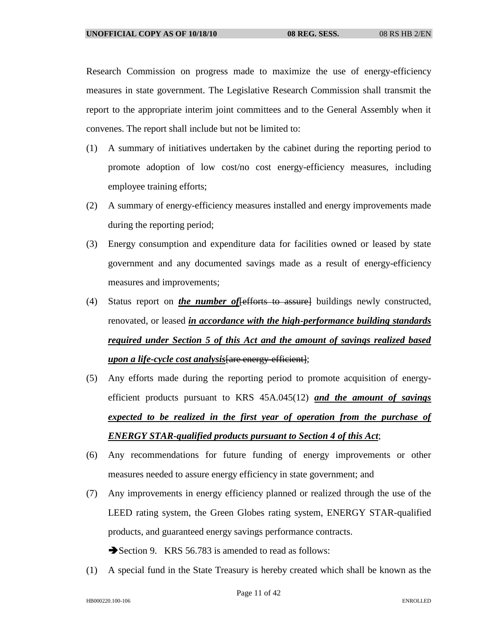Research Commission on progress made to maximize the use of energy-efficiency measures in state government. The Legislative Research Commission shall transmit the report to the appropriate interim joint committees and to the General Assembly when it convenes. The report shall include but not be limited to:

- (1) A summary of initiatives undertaken by the cabinet during the reporting period to promote adoption of low cost/no cost energy-efficiency measures, including employee training efforts;
- (2) A summary of energy-efficiency measures installed and energy improvements made during the reporting period;
- (3) Energy consumption and expenditure data for facilities owned or leased by state government and any documented savings made as a result of energy-efficiency measures and improvements;
- (4) Status report on *the number of*[efforts to assure] buildings newly constructed, renovated, or leased *in accordance with the high-performance building standards required under Section 5 of this Act and the amount of savings realized based upon a life-cycle cost analysis* [are energy-efficient];
- (5) Any efforts made during the reporting period to promote acquisition of energyefficient products pursuant to KRS 45A.045(12) *and the amount of savings expected to be realized in the first year of operation from the purchase of ENERGY STAR-qualified products pursuant to Section 4 of this Act*;
- (6) Any recommendations for future funding of energy improvements or other measures needed to assure energy efficiency in state government; and
- (7) Any improvements in energy efficiency planned or realized through the use of the LEED rating system, the Green Globes rating system, ENERGY STAR-qualified products, and guaranteed energy savings performance contracts.

Section 9. KRS 56.783 is amended to read as follows:

(1) A special fund in the State Treasury is hereby created which shall be known as the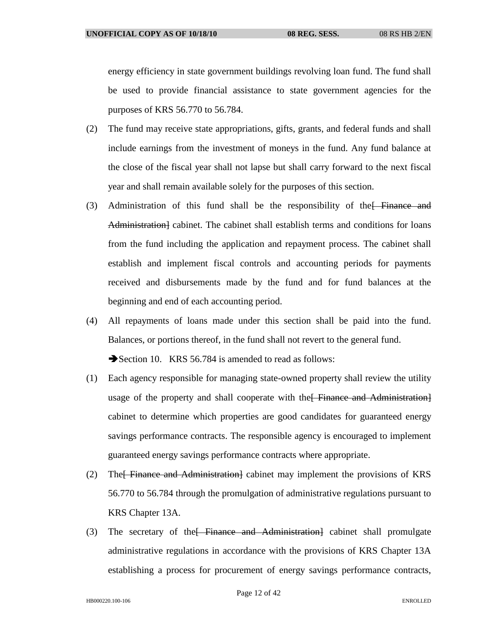energy efficiency in state government buildings revolving loan fund. The fund shall be used to provide financial assistance to state government agencies for the purposes of KRS 56.770 to 56.784.

- (2) The fund may receive state appropriations, gifts, grants, and federal funds and shall include earnings from the investment of moneys in the fund. Any fund balance at the close of the fiscal year shall not lapse but shall carry forward to the next fiscal year and shall remain available solely for the purposes of this section.
- (3) Administration of this fund shall be the responsibility of the[ Finance and Administration] cabinet. The cabinet shall establish terms and conditions for loans from the fund including the application and repayment process. The cabinet shall establish and implement fiscal controls and accounting periods for payments received and disbursements made by the fund and for fund balances at the beginning and end of each accounting period.
- (4) All repayments of loans made under this section shall be paid into the fund. Balances, or portions thereof, in the fund shall not revert to the general fund. Section 10. KRS 56.784 is amended to read as follows:
- (1) Each agency responsible for managing state-owned property shall review the utility usage of the property and shall cooperate with the Finance and Administration cabinet to determine which properties are good candidates for guaranteed energy savings performance contracts. The responsible agency is encouraged to implement guaranteed energy savings performance contracts where appropriate.
- (2) The Finance and Administration cabinet may implement the provisions of KRS 56.770 to 56.784 through the promulgation of administrative regulations pursuant to KRS Chapter 13A.
- (3) The secretary of the Finance and Administration cabinet shall promulgate administrative regulations in accordance with the provisions of KRS Chapter 13A establishing a process for procurement of energy savings performance contracts,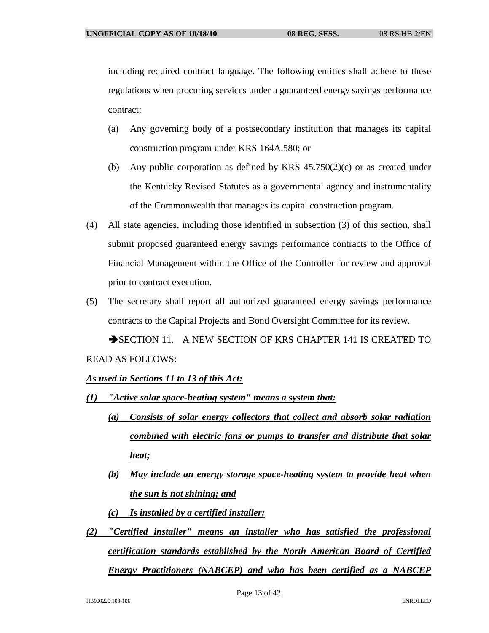including required contract language. The following entities shall adhere to these regulations when procuring services under a guaranteed energy savings performance contract:

- (a) Any governing body of a postsecondary institution that manages its capital construction program under KRS 164A.580; or
- (b) Any public corporation as defined by KRS 45.750(2)(c) or as created under the Kentucky Revised Statutes as a governmental agency and instrumentality of the Commonwealth that manages its capital construction program.
- (4) All state agencies, including those identified in subsection (3) of this section, shall submit proposed guaranteed energy savings performance contracts to the Office of Financial Management within the Office of the Controller for review and approval prior to contract execution.
- (5) The secretary shall report all authorized guaranteed energy savings performance contracts to the Capital Projects and Bond Oversight Committee for its review.

SECTION 11. A NEW SECTION OF KRS CHAPTER 141 IS CREATED TO READ AS FOLLOWS:

#### *As used in Sections 11 to 13 of this Act:*

- *(1) "Active solar space-heating system" means a system that:*
	- *(a) Consists of solar energy collectors that collect and absorb solar radiation combined with electric fans or pumps to transfer and distribute that solar heat;*
	- *(b) May include an energy storage space-heating system to provide heat when the sun is not shining; and*
	- *(c) Is installed by a certified installer;*
- *(2) "Certified installer" means an installer who has satisfied the professional certification standards established by the North American Board of Certified Energy Practitioners (NABCEP) and who has been certified as a NABCEP*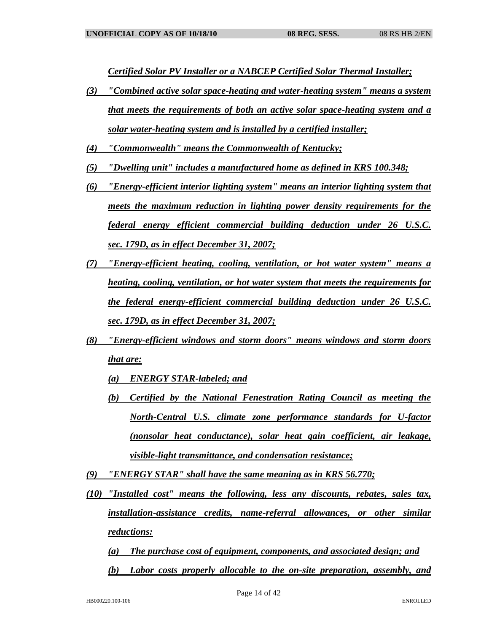*Certified Solar PV Installer or a NABCEP Certified Solar Thermal Installer;*

- *(3) "Combined active solar space-heating and water-heating system" means a system that meets the requirements of both an active solar space-heating system and a solar water-heating system and is installed by a certified installer;*
- *(4) "Commonwealth" means the Commonwealth of Kentucky;*
- *(5) "Dwelling unit" includes a manufactured home as defined in KRS 100.348;*
- *(6) "Energy-efficient interior lighting system" means an interior lighting system that meets the maximum reduction in lighting power density requirements for the federal energy efficient commercial building deduction under 26 U.S.C. sec. 179D, as in effect December 31, 2007;*
- *(7) "Energy-efficient heating, cooling, ventilation, or hot water system" means a heating, cooling, ventilation, or hot water system that meets the requirements for the federal energy-efficient commercial building deduction under 26 U.S.C. sec. 179D, as in effect December 31, 2007;*
- *(8) "Energy-efficient windows and storm doors" means windows and storm doors that are:*
	- *(a) ENERGY STAR-labeled; and*
	- *(b) Certified by the National Fenestration Rating Council as meeting the North-Central U.S. climate zone performance standards for U-factor (nonsolar heat conductance), solar heat gain coefficient, air leakage, visible-light transmittance, and condensation resistance;*

*(9) "ENERGY STAR" shall have the same meaning as in KRS 56.770;*

- *(10) "Installed cost" means the following, less any discounts, rebates, sales tax, installation-assistance credits, name-referral allowances, or other similar reductions:*
	- *(a) The purchase cost of equipment, components, and associated design; and (b) Labor costs properly allocable to the on-site preparation, assembly, and*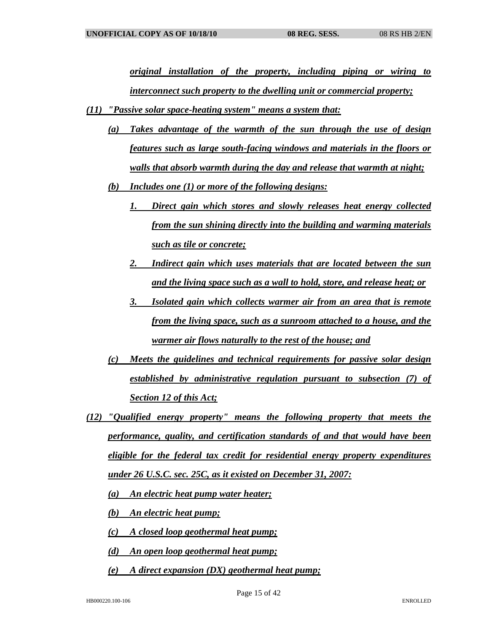*original installation of the property, including piping or wiring to interconnect such property to the dwelling unit or commercial property;*

- *(11) "Passive solar space-heating system" means a system that:*
	- *(a) Takes advantage of the warmth of the sun through the use of design features such as large south-facing windows and materials in the floors or walls that absorb warmth during the day and release that warmth at night;*
	- *(b) Includes one (1) or more of the following designs:*
		- *1. Direct gain which stores and slowly releases heat energy collected from the sun shining directly into the building and warming materials such as tile or concrete;*
		- *2. Indirect gain which uses materials that are located between the sun and the living space such as a wall to hold, store, and release heat; or*
		- *3. Isolated gain which collects warmer air from an area that is remote from the living space, such as a sunroom attached to a house, and the warmer air flows naturally to the rest of the house; and*
	- *(c) Meets the guidelines and technical requirements for passive solar design established by administrative regulation pursuant to subsection (7) of Section 12 of this Act;*
- *(12) "Qualified energy property" means the following property that meets the performance, quality, and certification standards of and that would have been eligible for the federal tax credit for residential energy property expenditures under 26 U.S.C. sec. 25C, as it existed on December 31, 2007: (a) An electric heat pump water heater;*
	- *(b) An electric heat pump;*
	- *(c) A closed loop geothermal heat pump;*
	- *(d) An open loop geothermal heat pump;*
	- *(e) A direct expansion (DX) geothermal heat pump;*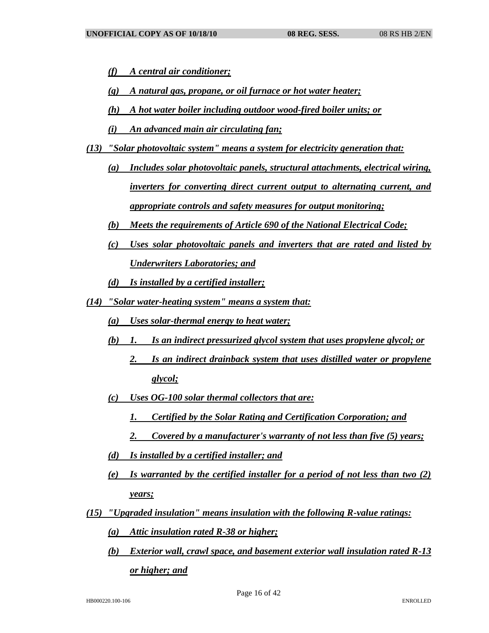- *(f) A central air conditioner;*
- *(g) A natural gas, propane, or oil furnace or hot water heater;*
- *(h) A hot water boiler including outdoor wood-fired boiler units; or*
- *(i) An advanced main air circulating fan;*
- *(13) "Solar photovoltaic system" means a system for electricity generation that:*
	- *(a) Includes solar photovoltaic panels, structural attachments, electrical wiring, inverters for converting direct current output to alternating current, and appropriate controls and safety measures for output monitoring;*
	- *(b) Meets the requirements of Article 690 of the National Electrical Code;*
	- *(c) Uses solar photovoltaic panels and inverters that are rated and listed by Underwriters Laboratories; and*
	- *(d) Is installed by a certified installer;*
- *(14) "Solar water-heating system" means a system that:*
	- *(a) Uses solar-thermal energy to heat water;*
	- *(b) 1. Is an indirect pressurized glycol system that uses propylene glycol; or* 
		- *2. Is an indirect drainback system that uses distilled water or propylene glycol;*
	- *(c) Uses OG-100 solar thermal collectors that are:*
		- *1. Certified by the Solar Rating and Certification Corporation; and*
		- *2. Covered by a manufacturer's warranty of not less than five (5) years;*
	- *(d) Is installed by a certified installer; and*
	- *(e) Is warranted by the certified installer for a period of not less than two (2) years;*
- *(15) "Upgraded insulation" means insulation with the following R-value ratings: (a) Attic insulation rated R-38 or higher;*
	- *(b) Exterior wall, crawl space, and basement exterior wall insulation rated R-13 or higher; and*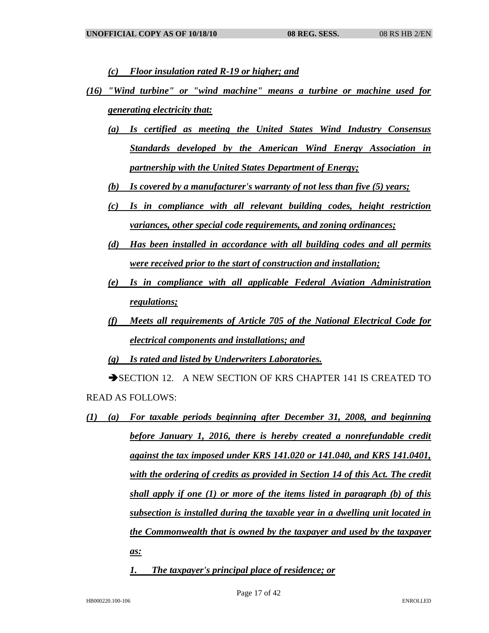*(c) Floor insulation rated R-19 or higher; and*

- *(16) "Wind turbine" or "wind machine" means a turbine or machine used for generating electricity that:*
	- *(a) Is certified as meeting the United States Wind Industry Consensus Standards developed by the American Wind Energy Association in partnership with the United States Department of Energy;*
	- *(b) Is covered by a manufacturer's warranty of not less than five (5) years;*
	- *(c) Is in compliance with all relevant building codes, height restriction variances, other special code requirements, and zoning ordinances;*
	- *(d) Has been installed in accordance with all building codes and all permits were received prior to the start of construction and installation;*
	- *(e) Is in compliance with all applicable Federal Aviation Administration regulations;*
	- *(f) Meets all requirements of Article 705 of the National Electrical Code for electrical components and installations; and*

*(g) Is rated and listed by Underwriters Laboratories.*

SECTION 12. A NEW SECTION OF KRS CHAPTER 141 IS CREATED TO READ AS FOLLOWS:

- *(1) (a) For taxable periods beginning after December 31, 2008, and beginning before January 1, 2016, there is hereby created a nonrefundable credit against the tax imposed under KRS 141.020 or 141.040, and KRS 141.0401, with the ordering of credits as provided in Section 14 of this Act. The credit shall apply if one (1) or more of the items listed in paragraph (b) of this subsection is installed during the taxable year in a dwelling unit located in the Commonwealth that is owned by the taxpayer and used by the taxpayer as:*
	- *1. The taxpayer's principal place of residence; or*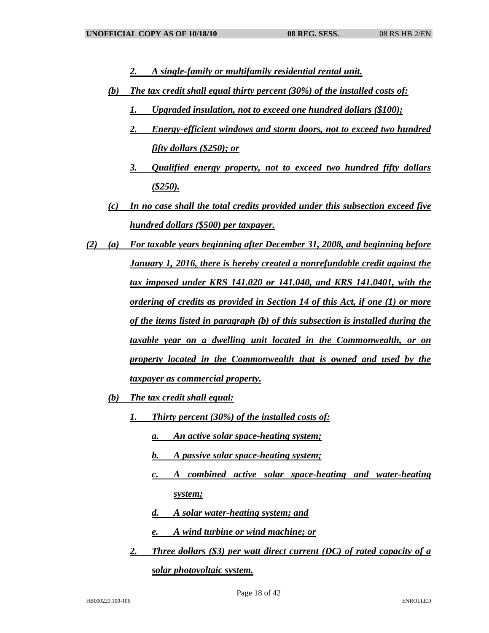- *2. A single-family or multifamily residential rental unit.*
- *(b) The tax credit shall equal thirty percent (30%) of the installed costs of:*
	- *1. Upgraded insulation, not to exceed one hundred dollars (\$100);*
	- *2. Energy-efficient windows and storm doors, not to exceed two hundred fifty dollars (\$250); or*
	- *3. Qualified energy property, not to exceed two hundred fifty dollars (\$250).*
- *(c) In no case shall the total credits provided under this subsection exceed five hundred dollars (\$500) per taxpayer.*
- *(2) (a) For taxable years beginning after December 31, 2008, and beginning before January 1, 2016, there is hereby created a nonrefundable credit against the tax imposed under KRS 141.020 or 141.040, and KRS 141.0401, with the ordering of credits as provided in Section 14 of this Act, if one (1) or more of the items listed in paragraph (b) of this subsection is installed during the taxable year on a dwelling unit located in the Commonwealth, or on property located in the Commonwealth that is owned and used by the taxpayer as commercial property.*
	- *(b) The tax credit shall equal:*
		- *1. Thirty percent (30%) of the installed costs of:*
			- *a. An active solar space-heating system;*
			- *b. A passive solar space-heating system;*
			- *c. A combined active solar space-heating and water-heating system;*
			- *d. A solar water-heating system; and*
			- *e. A wind turbine or wind machine; or*
		- *2. Three dollars (\$3) per watt direct current (DC) of rated capacity of a solar photovoltaic system.*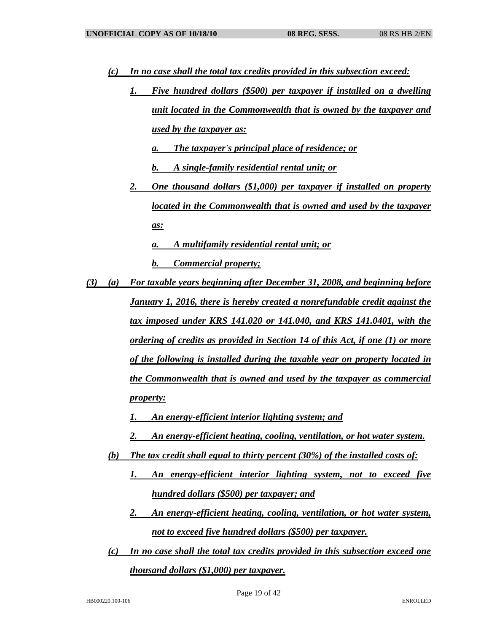- *(c) In no case shall the total tax credits provided in this subsection exceed:*
	- *1. Five hundred dollars (\$500) per taxpayer if installed on a dwelling unit located in the Commonwealth that is owned by the taxpayer and used by the taxpayer as:*
		- *a. The taxpayer's principal place of residence; or*
		- *b. A single-family residential rental unit; or*
	- *2. One thousand dollars (\$1,000) per taxpayer if installed on property located in the Commonwealth that is owned and used by the taxpayer as:*
		- *a. A multifamily residential rental unit; or*

*b. Commercial property;*

- *(3) (a) For taxable years beginning after December 31, 2008, and beginning before January 1, 2016, there is hereby created a nonrefundable credit against the tax imposed under KRS 141.020 or 141.040, and KRS 141.0401, with the ordering of credits as provided in Section 14 of this Act, if one (1) or more of the following is installed during the taxable year on property located in the Commonwealth that is owned and used by the taxpayer as commercial property:*
	- *1. An energy-efficient interior lighting system; and*
	- *2. An energy-efficient heating, cooling, ventilation, or hot water system.*
	- *(b) The tax credit shall equal to thirty percent (30%) of the installed costs of:*
		- *1. An energy-efficient interior lighting system, not to exceed five hundred dollars (\$500) per taxpayer; and*
		- *2. An energy-efficient heating, cooling, ventilation, or hot water system, not to exceed five hundred dollars (\$500) per taxpayer.*
	- *(c) In no case shall the total tax credits provided in this subsection exceed one thousand dollars (\$1,000) per taxpayer.*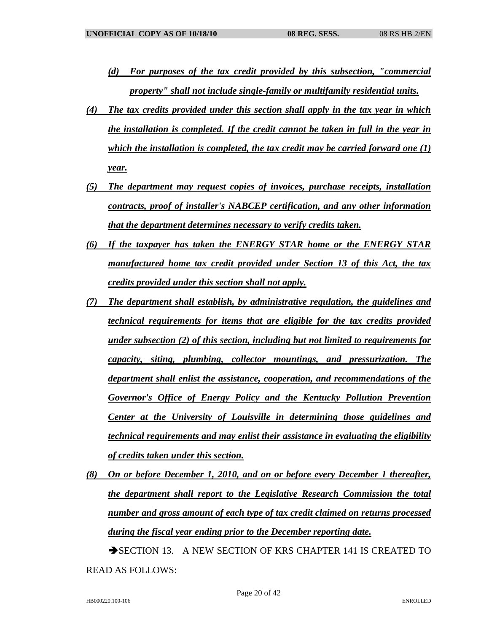- *(d) For purposes of the tax credit provided by this subsection, "commercial property" shall not include single-family or multifamily residential units.*
- *(4) The tax credits provided under this section shall apply in the tax year in which the installation is completed. If the credit cannot be taken in full in the year in which the installation is completed, the tax credit may be carried forward one (1) year.*
- *(5) The department may request copies of invoices, purchase receipts, installation contracts, proof of installer's NABCEP certification, and any other information that the department determines necessary to verify credits taken.*
- *(6) If the taxpayer has taken the ENERGY STAR home or the ENERGY STAR manufactured home tax credit provided under Section 13 of this Act, the tax credits provided under this section shall not apply.*
- *(7) The department shall establish, by administrative regulation, the guidelines and technical requirements for items that are eligible for the tax credits provided under subsection (2) of this section, including but not limited to requirements for capacity, siting, plumbing, collector mountings, and pressurization. The department shall enlist the assistance, cooperation, and recommendations of the Governor's Office of Energy Policy and the Kentucky Pollution Prevention Center at the University of Louisville in determining those guidelines and technical requirements and may enlist their assistance in evaluating the eligibility of credits taken under this section.*
- *(8) On or before December 1, 2010, and on or before every December 1 thereafter, the department shall report to the Legislative Research Commission the total number and gross amount of each type of tax credit claimed on returns processed during the fiscal year ending prior to the December reporting date.*

SECTION 13. A NEW SECTION OF KRS CHAPTER 141 IS CREATED TO READ AS FOLLOWS: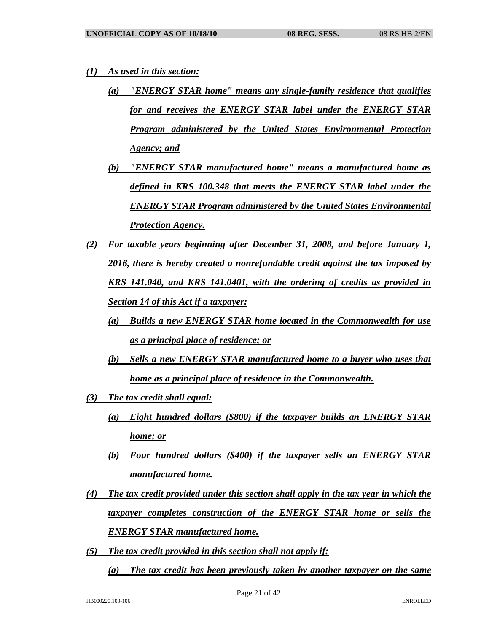- *(1) As used in this section:*
	- *(a) "ENERGY STAR home" means any single-family residence that qualifies for and receives the ENERGY STAR label under the ENERGY STAR Program administered by the United States Environmental Protection Agency; and*
	- *(b) "ENERGY STAR manufactured home" means a manufactured home as defined in KRS 100.348 that meets the ENERGY STAR label under the ENERGY STAR Program administered by the United States Environmental Protection Agency.*
- *(2) For taxable years beginning after December 31, 2008, and before January 1, 2016, there is hereby created a nonrefundable credit against the tax imposed by KRS 141.040, and KRS 141.0401, with the ordering of credits as provided in Section 14 of this Act if a taxpayer:*
	- *(a) Builds a new ENERGY STAR home located in the Commonwealth for use as a principal place of residence; or*
	- *(b) Sells a new ENERGY STAR manufactured home to a buyer who uses that home as a principal place of residence in the Commonwealth.*
- *(3) The tax credit shall equal:*
	- *(a) Eight hundred dollars (\$800) if the taxpayer builds an ENERGY STAR home; or*
	- *(b) Four hundred dollars (\$400) if the taxpayer sells an ENERGY STAR manufactured home.*
- *(4) The tax credit provided under this section shall apply in the tax year in which the taxpayer completes construction of the ENERGY STAR home or sells the ENERGY STAR manufactured home.*
- *(5) The tax credit provided in this section shall not apply if:*
	- *(a) The tax credit has been previously taken by another taxpayer on the same*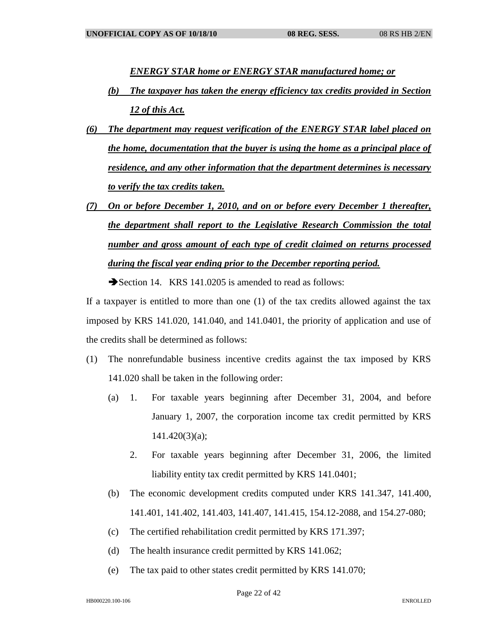*ENERGY STAR home or ENERGY STAR manufactured home; or*

- *(b) The taxpayer has taken the energy efficiency tax credits provided in Section 12 of this Act.*
- *(6) The department may request verification of the ENERGY STAR label placed on the home, documentation that the buyer is using the home as a principal place of residence, and any other information that the department determines is necessary to verify the tax credits taken.*
- *(7) On or before December 1, 2010, and on or before every December 1 thereafter, the department shall report to the Legislative Research Commission the total number and gross amount of each type of credit claimed on returns processed during the fiscal year ending prior to the December reporting period.*

Section 14. KRS 141.0205 is amended to read as follows:

If a taxpayer is entitled to more than one (1) of the tax credits allowed against the tax imposed by KRS 141.020, 141.040, and 141.0401, the priority of application and use of the credits shall be determined as follows:

- (1) The nonrefundable business incentive credits against the tax imposed by KRS 141.020 shall be taken in the following order:
	- (a) 1. For taxable years beginning after December 31, 2004, and before January 1, 2007, the corporation income tax credit permitted by KRS 141.420(3)(a);
		- 2. For taxable years beginning after December 31, 2006, the limited liability entity tax credit permitted by KRS 141.0401;
	- (b) The economic development credits computed under KRS 141.347, 141.400, 141.401, 141.402, 141.403, 141.407, 141.415, 154.12-2088, and 154.27-080;
	- (c) The certified rehabilitation credit permitted by KRS 171.397;
	- (d) The health insurance credit permitted by KRS 141.062;
	- (e) The tax paid to other states credit permitted by KRS 141.070;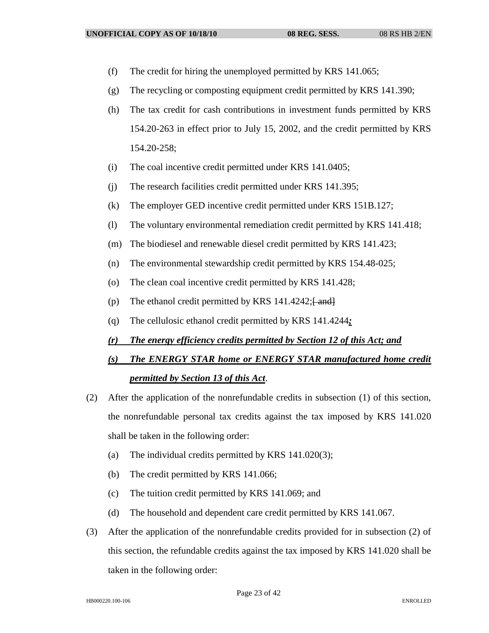- (f) The credit for hiring the unemployed permitted by KRS 141.065;
- (g) The recycling or composting equipment credit permitted by KRS 141.390;
- (h) The tax credit for cash contributions in investment funds permitted by KRS 154.20-263 in effect prior to July 15, 2002, and the credit permitted by KRS 154.20-258;
- (i) The coal incentive credit permitted under KRS 141.0405;
- (j) The research facilities credit permitted under KRS 141.395;
- (k) The employer GED incentive credit permitted under KRS 151B.127;
- (l) The voluntary environmental remediation credit permitted by KRS 141.418;
- (m) The biodiesel and renewable diesel credit permitted by KRS 141.423;
- (n) The environmental stewardship credit permitted by KRS 154.48-025;
- (o) The clean coal incentive credit permitted by KRS 141.428;
- (p) The ethanol credit permitted by KRS  $141.4242$ ; [and]
- (q) The cellulosic ethanol credit permitted by KRS 141.4244*;*

#### *(r) The energy efficiency credits permitted by Section 12 of this Act; and*

# *(s) The ENERGY STAR home or ENERGY STAR manufactured home credit permitted by Section 13 of this Act*.

- (2) After the application of the nonrefundable credits in subsection (1) of this section, the nonrefundable personal tax credits against the tax imposed by KRS 141.020 shall be taken in the following order:
	- (a) The individual credits permitted by KRS 141.020(3);
	- (b) The credit permitted by KRS 141.066;
	- (c) The tuition credit permitted by KRS 141.069; and
	- (d) The household and dependent care credit permitted by KRS 141.067.
- (3) After the application of the nonrefundable credits provided for in subsection (2) of this section, the refundable credits against the tax imposed by KRS 141.020 shall be taken in the following order: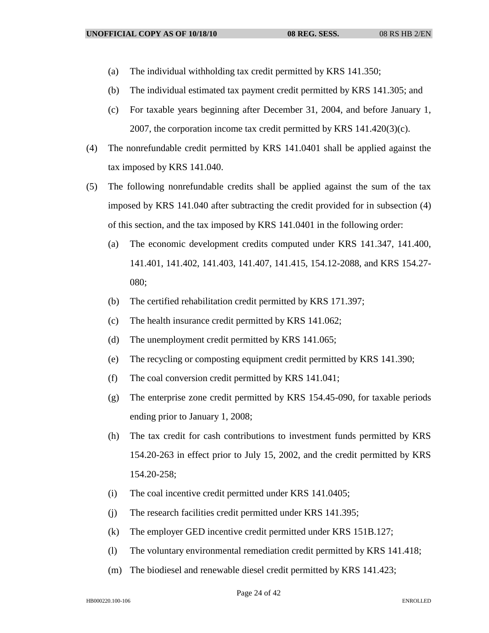- (a) The individual withholding tax credit permitted by KRS 141.350;
- (b) The individual estimated tax payment credit permitted by KRS 141.305; and
- (c) For taxable years beginning after December 31, 2004, and before January 1, 2007, the corporation income tax credit permitted by KRS 141.420(3)(c).
- (4) The nonrefundable credit permitted by KRS 141.0401 shall be applied against the tax imposed by KRS 141.040.
- (5) The following nonrefundable credits shall be applied against the sum of the tax imposed by KRS 141.040 after subtracting the credit provided for in subsection (4) of this section, and the tax imposed by KRS 141.0401 in the following order:
	- (a) The economic development credits computed under KRS 141.347, 141.400, 141.401, 141.402, 141.403, 141.407, 141.415, 154.12-2088, and KRS 154.27- 080;
	- (b) The certified rehabilitation credit permitted by KRS 171.397;
	- (c) The health insurance credit permitted by KRS 141.062;
	- (d) The unemployment credit permitted by KRS 141.065;
	- (e) The recycling or composting equipment credit permitted by KRS 141.390;
	- (f) The coal conversion credit permitted by KRS 141.041;
	- (g) The enterprise zone credit permitted by KRS 154.45-090, for taxable periods ending prior to January 1, 2008;
	- (h) The tax credit for cash contributions to investment funds permitted by KRS 154.20-263 in effect prior to July 15, 2002, and the credit permitted by KRS 154.20-258;
	- (i) The coal incentive credit permitted under KRS 141.0405;
	- (j) The research facilities credit permitted under KRS 141.395;
	- (k) The employer GED incentive credit permitted under KRS 151B.127;
	- (l) The voluntary environmental remediation credit permitted by KRS 141.418;
	- (m) The biodiesel and renewable diesel credit permitted by KRS 141.423;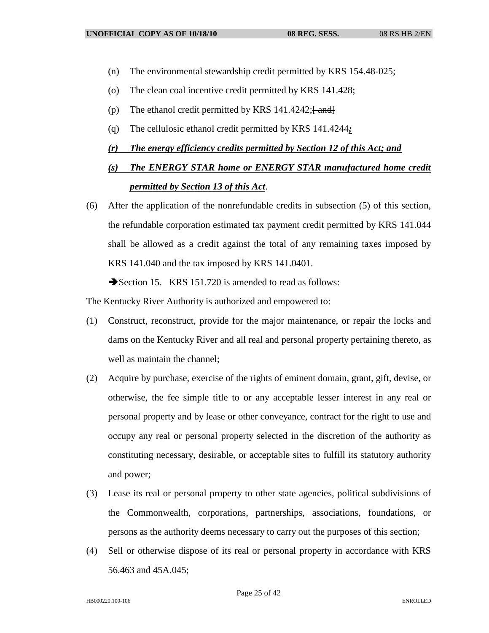- (n) The environmental stewardship credit permitted by KRS 154.48-025;
- (o) The clean coal incentive credit permitted by KRS 141.428;
- (p) The ethanol credit permitted by KRS  $141.4242$ ; [ and]
- (q) The cellulosic ethanol credit permitted by KRS 141.4244*;*

### *(r) The energy efficiency credits permitted by Section 12 of this Act; and*

- *(s) The ENERGY STAR home or ENERGY STAR manufactured home credit permitted by Section 13 of this Act*.
- (6) After the application of the nonrefundable credits in subsection (5) of this section, the refundable corporation estimated tax payment credit permitted by KRS 141.044 shall be allowed as a credit against the total of any remaining taxes imposed by KRS 141.040 and the tax imposed by KRS 141.0401.

Section 15. KRS 151.720 is amended to read as follows:

The Kentucky River Authority is authorized and empowered to:

- (1) Construct, reconstruct, provide for the major maintenance, or repair the locks and dams on the Kentucky River and all real and personal property pertaining thereto, as well as maintain the channel;
- (2) Acquire by purchase, exercise of the rights of eminent domain, grant, gift, devise, or otherwise, the fee simple title to or any acceptable lesser interest in any real or personal property and by lease or other conveyance, contract for the right to use and occupy any real or personal property selected in the discretion of the authority as constituting necessary, desirable, or acceptable sites to fulfill its statutory authority and power;
- (3) Lease its real or personal property to other state agencies, political subdivisions of the Commonwealth, corporations, partnerships, associations, foundations, or persons as the authority deems necessary to carry out the purposes of this section;
- (4) Sell or otherwise dispose of its real or personal property in accordance with KRS 56.463 and 45A.045;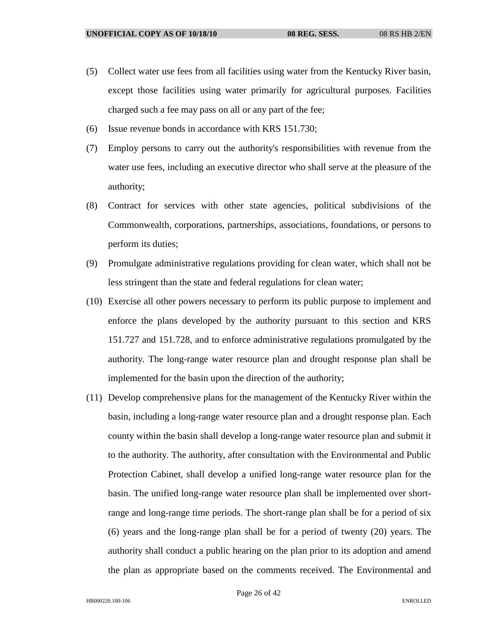- (5) Collect water use fees from all facilities using water from the Kentucky River basin, except those facilities using water primarily for agricultural purposes. Facilities charged such a fee may pass on all or any part of the fee;
- (6) Issue revenue bonds in accordance with KRS 151.730;
- (7) Employ persons to carry out the authority's responsibilities with revenue from the water use fees, including an executive director who shall serve at the pleasure of the authority;
- (8) Contract for services with other state agencies, political subdivisions of the Commonwealth, corporations, partnerships, associations, foundations, or persons to perform its duties;
- (9) Promulgate administrative regulations providing for clean water, which shall not be less stringent than the state and federal regulations for clean water;
- (10) Exercise all other powers necessary to perform its public purpose to implement and enforce the plans developed by the authority pursuant to this section and KRS 151.727 and 151.728, and to enforce administrative regulations promulgated by the authority. The long-range water resource plan and drought response plan shall be implemented for the basin upon the direction of the authority;
- (11) Develop comprehensive plans for the management of the Kentucky River within the basin, including a long-range water resource plan and a drought response plan. Each county within the basin shall develop a long-range water resource plan and submit it to the authority. The authority, after consultation with the Environmental and Public Protection Cabinet, shall develop a unified long-range water resource plan for the basin. The unified long-range water resource plan shall be implemented over shortrange and long-range time periods. The short-range plan shall be for a period of six (6) years and the long-range plan shall be for a period of twenty (20) years. The authority shall conduct a public hearing on the plan prior to its adoption and amend the plan as appropriate based on the comments received. The Environmental and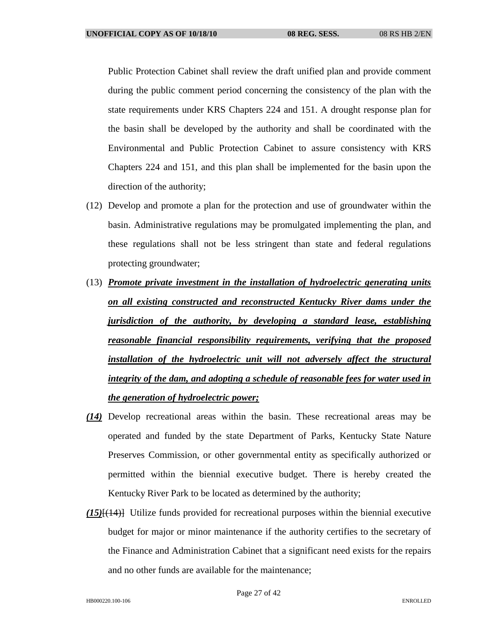Public Protection Cabinet shall review the draft unified plan and provide comment during the public comment period concerning the consistency of the plan with the state requirements under KRS Chapters 224 and 151. A drought response plan for the basin shall be developed by the authority and shall be coordinated with the Environmental and Public Protection Cabinet to assure consistency with KRS Chapters 224 and 151, and this plan shall be implemented for the basin upon the direction of the authority;

- (12) Develop and promote a plan for the protection and use of groundwater within the basin. Administrative regulations may be promulgated implementing the plan, and these regulations shall not be less stringent than state and federal regulations protecting groundwater;
- (13) *Promote private investment in the installation of hydroelectric generating units on all existing constructed and reconstructed Kentucky River dams under the jurisdiction of the authority, by developing a standard lease, establishing reasonable financial responsibility requirements, verifying that the proposed installation of the hydroelectric unit will not adversely affect the structural integrity of the dam, and adopting a schedule of reasonable fees for water used in the generation of hydroelectric power;*
- *(14)* Develop recreational areas within the basin. These recreational areas may be operated and funded by the state Department of Parks, Kentucky State Nature Preserves Commission, or other governmental entity as specifically authorized or permitted within the biennial executive budget. There is hereby created the Kentucky River Park to be located as determined by the authority;
- *(15)*[(14)] Utilize funds provided for recreational purposes within the biennial executive budget for major or minor maintenance if the authority certifies to the secretary of the Finance and Administration Cabinet that a significant need exists for the repairs and no other funds are available for the maintenance;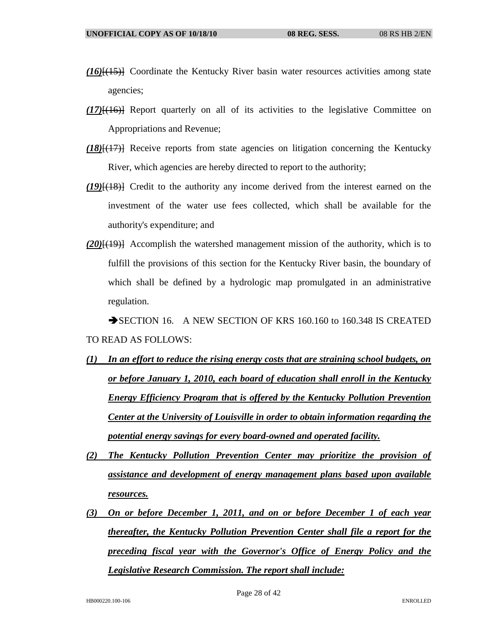- *(16)*[(15)] Coordinate the Kentucky River basin water resources activities among state agencies;
- *(17)*[(16)] Report quarterly on all of its activities to the legislative Committee on Appropriations and Revenue;
- *(18)*[(17)] Receive reports from state agencies on litigation concerning the Kentucky River, which agencies are hereby directed to report to the authority;
- *(19)*[(18)] Credit to the authority any income derived from the interest earned on the investment of the water use fees collected, which shall be available for the authority's expenditure; and
- *(20)*[(19)] Accomplish the watershed management mission of the authority, which is to fulfill the provisions of this section for the Kentucky River basin, the boundary of which shall be defined by a hydrologic map promulgated in an administrative regulation.

SECTION 16. A NEW SECTION OF KRS 160.160 to 160.348 IS CREATED TO READ AS FOLLOWS:

- *(1) In an effort to reduce the rising energy costs that are straining school budgets, on or before January 1, 2010, each board of education shall enroll in the Kentucky Energy Efficiency Program that is offered by the Kentucky Pollution Prevention Center at the University of Louisville in order to obtain information regarding the potential energy savings for every board-owned and operated facility.*
- *(2) The Kentucky Pollution Prevention Center may prioritize the provision of assistance and development of energy management plans based upon available resources.*
- *(3) On or before December 1, 2011, and on or before December 1 of each year thereafter, the Kentucky Pollution Prevention Center shall file a report for the preceding fiscal year with the Governor's Office of Energy Policy and the Legislative Research Commission. The report shall include:*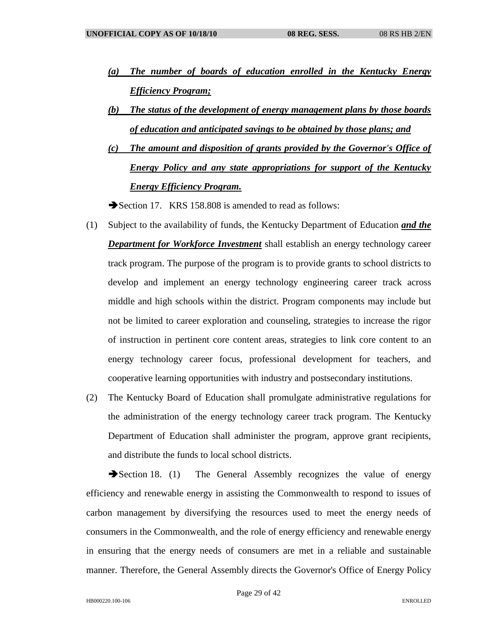- *(a) The number of boards of education enrolled in the Kentucky Energy Efficiency Program;*
- *(b) The status of the development of energy management plans by those boards of education and anticipated savings to be obtained by those plans; and*
- *(c) The amount and disposition of grants provided by the Governor's Office of Energy Policy and any state appropriations for support of the Kentucky Energy Efficiency Program.*

Section 17. KRS 158.808 is amended to read as follows:

- (1) Subject to the availability of funds, the Kentucky Department of Education *and the Department for Workforce Investment* shall establish an energy technology career track program. The purpose of the program is to provide grants to school districts to develop and implement an energy technology engineering career track across middle and high schools within the district. Program components may include but not be limited to career exploration and counseling, strategies to increase the rigor of instruction in pertinent core content areas, strategies to link core content to an energy technology career focus, professional development for teachers, and cooperative learning opportunities with industry and postsecondary institutions.
- (2) The Kentucky Board of Education shall promulgate administrative regulations for the administration of the energy technology career track program. The Kentucky Department of Education shall administer the program, approve grant recipients, and distribute the funds to local school districts.

Section 18. (1) The General Assembly recognizes the value of energy efficiency and renewable energy in assisting the Commonwealth to respond to issues of carbon management by diversifying the resources used to meet the energy needs of consumers in the Commonwealth, and the role of energy efficiency and renewable energy in ensuring that the energy needs of consumers are met in a reliable and sustainable manner. Therefore, the General Assembly directs the Governor's Office of Energy Policy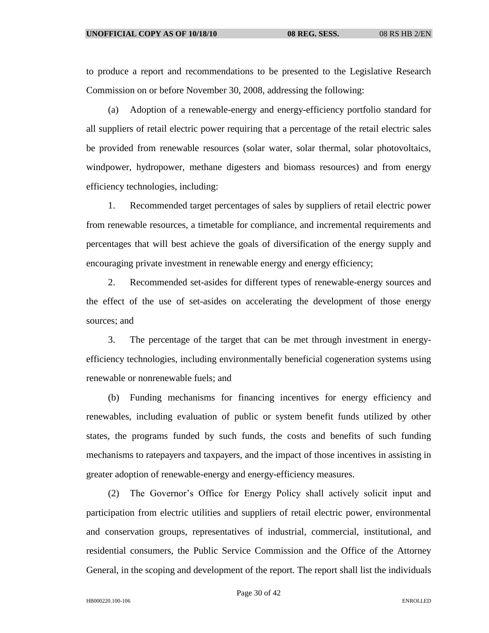to produce a report and recommendations to be presented to the Legislative Research Commission on or before November 30, 2008, addressing the following:

(a) Adoption of a renewable-energy and energy-efficiency portfolio standard for all suppliers of retail electric power requiring that a percentage of the retail electric sales be provided from renewable resources (solar water, solar thermal, solar photovoltaics, windpower, hydropower, methane digesters and biomass resources) and from energy efficiency technologies, including:

1. Recommended target percentages of sales by suppliers of retail electric power from renewable resources, a timetable for compliance, and incremental requirements and percentages that will best achieve the goals of diversification of the energy supply and encouraging private investment in renewable energy and energy efficiency;

2. Recommended set-asides for different types of renewable-energy sources and the effect of the use of set-asides on accelerating the development of those energy sources; and

3. The percentage of the target that can be met through investment in energyefficiency technologies, including environmentally beneficial cogeneration systems using renewable or nonrenewable fuels; and

(b) Funding mechanisms for financing incentives for energy efficiency and renewables, including evaluation of public or system benefit funds utilized by other states, the programs funded by such funds, the costs and benefits of such funding mechanisms to ratepayers and taxpayers, and the impact of those incentives in assisting in greater adoption of renewable-energy and energy-efficiency measures.

(2) The Governor's Office for Energy Policy shall actively solicit input and participation from electric utilities and suppliers of retail electric power, environmental and conservation groups, representatives of industrial, commercial, institutional, and residential consumers, the Public Service Commission and the Office of the Attorney General, in the scoping and development of the report. The report shall list the individuals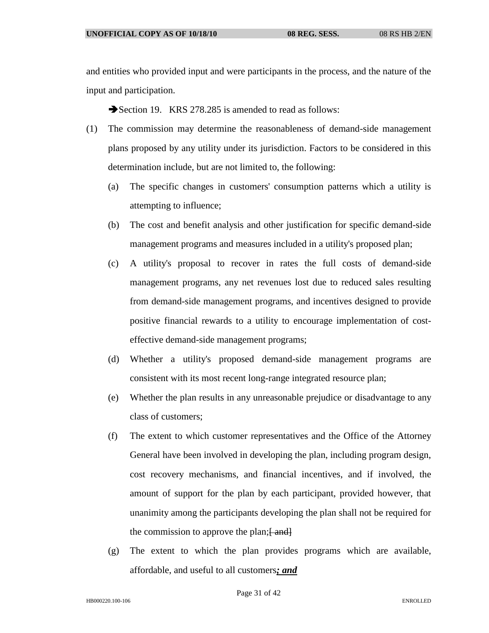and entities who provided input and were participants in the process, and the nature of the input and participation.

Section 19. KRS 278.285 is amended to read as follows:

- (1) The commission may determine the reasonableness of demand-side management plans proposed by any utility under its jurisdiction. Factors to be considered in this determination include, but are not limited to, the following:
	- (a) The specific changes in customers' consumption patterns which a utility is attempting to influence;
	- (b) The cost and benefit analysis and other justification for specific demand-side management programs and measures included in a utility's proposed plan;
	- (c) A utility's proposal to recover in rates the full costs of demand-side management programs, any net revenues lost due to reduced sales resulting from demand-side management programs, and incentives designed to provide positive financial rewards to a utility to encourage implementation of costeffective demand-side management programs;
	- (d) Whether a utility's proposed demand-side management programs are consistent with its most recent long-range integrated resource plan;
	- (e) Whether the plan results in any unreasonable prejudice or disadvantage to any class of customers;
	- (f) The extent to which customer representatives and the Office of the Attorney General have been involved in developing the plan, including program design, cost recovery mechanisms, and financial incentives, and if involved, the amount of support for the plan by each participant, provided however, that unanimity among the participants developing the plan shall not be required for the commission to approve the plan; [ and]
	- (g) The extent to which the plan provides programs which are available, affordable, and useful to all customers*; and*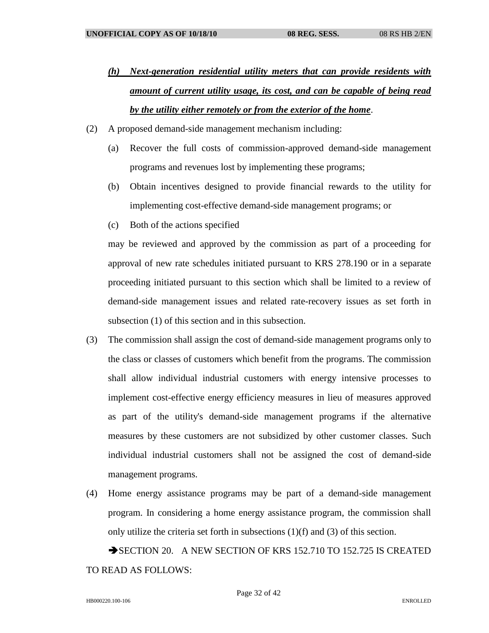- *(h) Next-generation residential utility meters that can provide residents with amount of current utility usage, its cost, and can be capable of being read by the utility either remotely or from the exterior of the home*.
- (2) A proposed demand-side management mechanism including:
	- (a) Recover the full costs of commission-approved demand-side management programs and revenues lost by implementing these programs;
	- (b) Obtain incentives designed to provide financial rewards to the utility for implementing cost-effective demand-side management programs; or
	- (c) Both of the actions specified

may be reviewed and approved by the commission as part of a proceeding for approval of new rate schedules initiated pursuant to KRS 278.190 or in a separate proceeding initiated pursuant to this section which shall be limited to a review of demand-side management issues and related rate-recovery issues as set forth in subsection (1) of this section and in this subsection.

- (3) The commission shall assign the cost of demand-side management programs only to the class or classes of customers which benefit from the programs. The commission shall allow individual industrial customers with energy intensive processes to implement cost-effective energy efficiency measures in lieu of measures approved as part of the utility's demand-side management programs if the alternative measures by these customers are not subsidized by other customer classes. Such individual industrial customers shall not be assigned the cost of demand-side management programs.
- (4) Home energy assistance programs may be part of a demand-side management program. In considering a home energy assistance program, the commission shall only utilize the criteria set forth in subsections (1)(f) and (3) of this section.

SECTION 20. A NEW SECTION OF KRS 152.710 TO 152.725 IS CREATED TO READ AS FOLLOWS: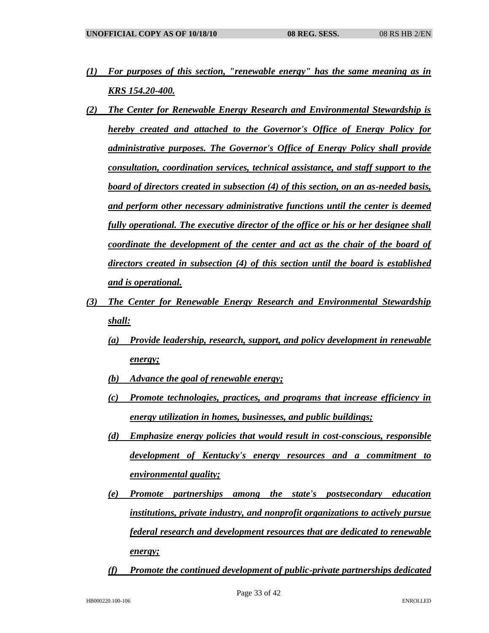- *(1) For purposes of this section, "renewable energy" has the same meaning as in KRS 154.20-400.*
- *(2) The Center for Renewable Energy Research and Environmental Stewardship is hereby created and attached to the Governor's Office of Energy Policy for administrative purposes. The Governor's Office of Energy Policy shall provide consultation, coordination services, technical assistance, and staff support to the board of directors created in subsection (4) of this section, on an as-needed basis, and perform other necessary administrative functions until the center is deemed fully operational. The executive director of the office or his or her designee shall coordinate the development of the center and act as the chair of the board of directors created in subsection (4) of this section until the board is established and is operational.*
- *(3) The Center for Renewable Energy Research and Environmental Stewardship shall:*
	- *(a) Provide leadership, research, support, and policy development in renewable energy;*
	- *(b) Advance the goal of renewable energy;*
	- *(c) Promote technologies, practices, and programs that increase efficiency in energy utilization in homes, businesses, and public buildings;*
	- *(d) Emphasize energy policies that would result in cost-conscious, responsible development of Kentucky's energy resources and a commitment to environmental quality;*
	- *(e) Promote partnerships among the state's postsecondary education institutions, private industry, and nonprofit organizations to actively pursue federal research and development resources that are dedicated to renewable energy;*
	- *(f) Promote the continued development of public-private partnerships dedicated*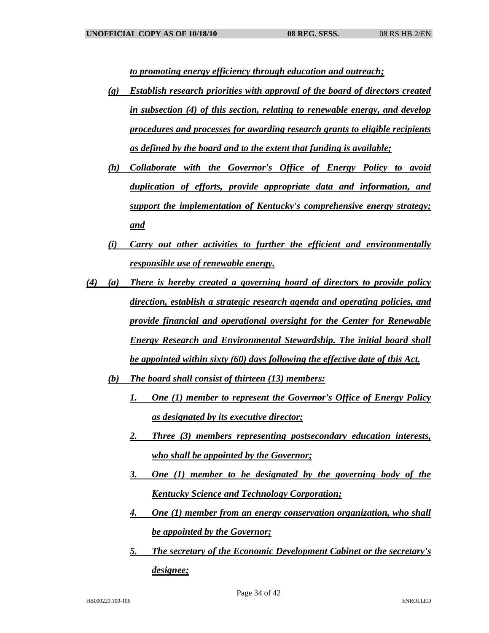*to promoting energy efficiency through education and outreach;*

- *(g) Establish research priorities with approval of the board of directors created in subsection (4) of this section, relating to renewable energy, and develop procedures and processes for awarding research grants to eligible recipients as defined by the board and to the extent that funding is available;*
- *(h) Collaborate with the Governor's Office of Energy Policy to avoid duplication of efforts, provide appropriate data and information, and support the implementation of Kentucky's comprehensive energy strategy; and*
- *(i) Carry out other activities to further the efficient and environmentally responsible use of renewable energy.*
- *(4) (a) There is hereby created a governing board of directors to provide policy direction, establish a strategic research agenda and operating policies, and provide financial and operational oversight for the Center for Renewable Energy Research and Environmental Stewardship. The initial board shall be appointed within sixty (60) days following the effective date of this Act.*
	- *(b) The board shall consist of thirteen (13) members:*
		- *1. One (1) member to represent the Governor's Office of Energy Policy as designated by its executive director;*
		- *2. Three (3) members representing postsecondary education interests, who shall be appointed by the Governor;*
		- *3. One (1) member to be designated by the governing body of the Kentucky Science and Technology Corporation;*
		- *4. One (1) member from an energy conservation organization, who shall be appointed by the Governor;*
		- *5. The secretary of the Economic Development Cabinet or the secretary's designee;*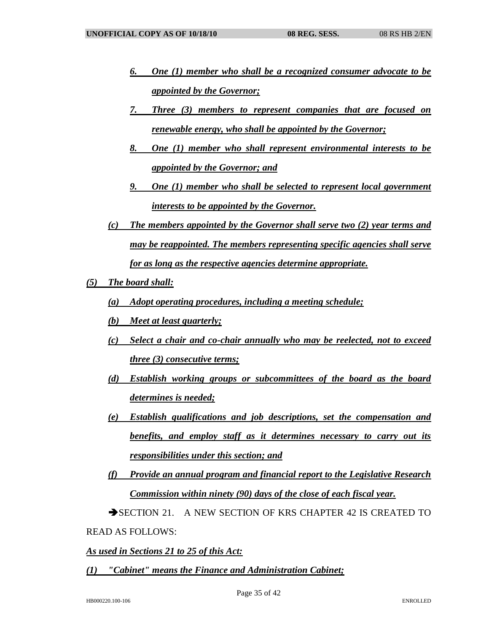- *6. One (1) member who shall be a recognized consumer advocate to be appointed by the Governor;*
- *7. Three (3) members to represent companies that are focused on renewable energy, who shall be appointed by the Governor;*
- *8. One (1) member who shall represent environmental interests to be appointed by the Governor; and*
- *9. One (1) member who shall be selected to represent local government interests to be appointed by the Governor.*
- *(c) The members appointed by the Governor shall serve two (2) year terms and may be reappointed. The members representing specific agencies shall serve for as long as the respective agencies determine appropriate.*
- *(5) The board shall:*
	- *(a) Adopt operating procedures, including a meeting schedule;*
	- *(b) Meet at least quarterly;*
	- *(c) Select a chair and co-chair annually who may be reelected, not to exceed three (3) consecutive terms;*
	- *(d) Establish working groups or subcommittees of the board as the board determines is needed;*
	- *(e) Establish qualifications and job descriptions, set the compensation and benefits, and employ staff as it determines necessary to carry out its responsibilities under this section; and*
	- *(f) Provide an annual program and financial report to the Legislative Research Commission within ninety (90) days of the close of each fiscal year.*

SECTION 21. A NEW SECTION OF KRS CHAPTER 42 IS CREATED TO READ AS FOLLOWS:

*As used in Sections 21 to 25 of this Act:*

*(1) "Cabinet" means the Finance and Administration Cabinet;*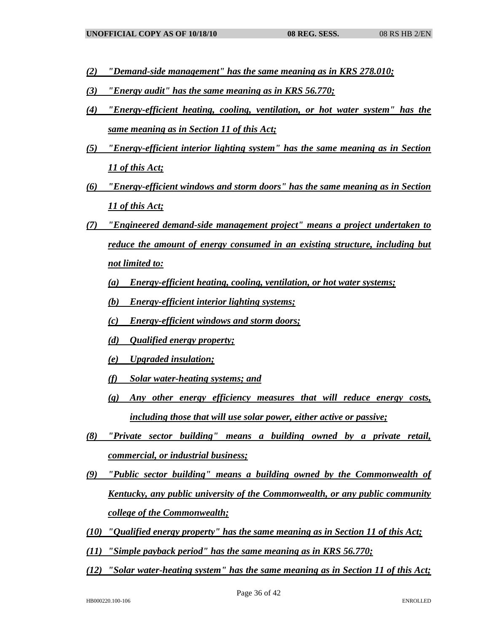- *(2) "Demand-side management" has the same meaning as in KRS 278.010;*
- *(3) "Energy audit" has the same meaning as in KRS 56.770;*
- *(4) "Energy-efficient heating, cooling, ventilation, or hot water system" has the same meaning as in Section 11 of this Act;*
- *(5) "Energy-efficient interior lighting system" has the same meaning as in Section 11 of this Act;*
- *(6) "Energy-efficient windows and storm doors" has the same meaning as in Section 11 of this Act;*
- *(7) "Engineered demand-side management project" means a project undertaken to reduce the amount of energy consumed in an existing structure, including but not limited to:*
	- *(a) Energy-efficient heating, cooling, ventilation, or hot water systems;*
	- *(b) Energy-efficient interior lighting systems;*
	- *(c) Energy-efficient windows and storm doors;*
	- *(d) Qualified energy property;*
	- *(e) Upgraded insulation;*
	- *(f) Solar water-heating systems; and*
	- *(g) Any other energy efficiency measures that will reduce energy costs, including those that will use solar power, either active or passive;*
- *(8) "Private sector building" means a building owned by a private retail, commercial, or industrial business;*
- *(9) "Public sector building" means a building owned by the Commonwealth of Kentucky, any public university of the Commonwealth, or any public community college of the Commonwealth;*
- *(10) "Qualified energy property" has the same meaning as in Section 11 of this Act;*
- *(11) "Simple payback period" has the same meaning as in KRS 56.770;*
- *(12) "Solar water-heating system" has the same meaning as in Section 11 of this Act;*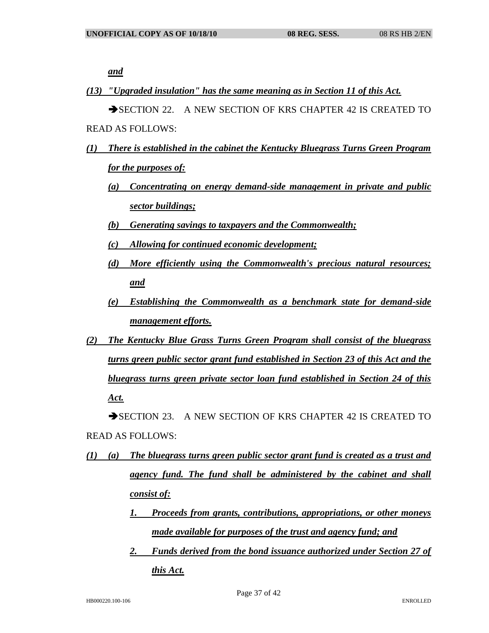*and*

*(13) "Upgraded insulation" has the same meaning as in Section 11 of this Act.*

SECTION 22. A NEW SECTION OF KRS CHAPTER 42 IS CREATED TO READ AS FOLLOWS:

- *(1) There is established in the cabinet the Kentucky Bluegrass Turns Green Program for the purposes of:*
	- *(a) Concentrating on energy demand-side management in private and public sector buildings;*
	- *(b) Generating savings to taxpayers and the Commonwealth;*
	- *(c) Allowing for continued economic development;*
	- *(d) More efficiently using the Commonwealth's precious natural resources; and*
	- *(e) Establishing the Commonwealth as a benchmark state for demand-side management efforts.*
- *(2) The Kentucky Blue Grass Turns Green Program shall consist of the bluegrass turns green public sector grant fund established in Section 23 of this Act and the bluegrass turns green private sector loan fund established in Section 24 of this Act.*

SECTION 23. A NEW SECTION OF KRS CHAPTER 42 IS CREATED TO READ AS FOLLOWS:

- *(1) (a) The bluegrass turns green public sector grant fund is created as a trust and agency fund. The fund shall be administered by the cabinet and shall consist of:*
	- *1. Proceeds from grants, contributions, appropriations, or other moneys made available for purposes of the trust and agency fund; and*
	- *2. Funds derived from the bond issuance authorized under Section 27 of this Act.*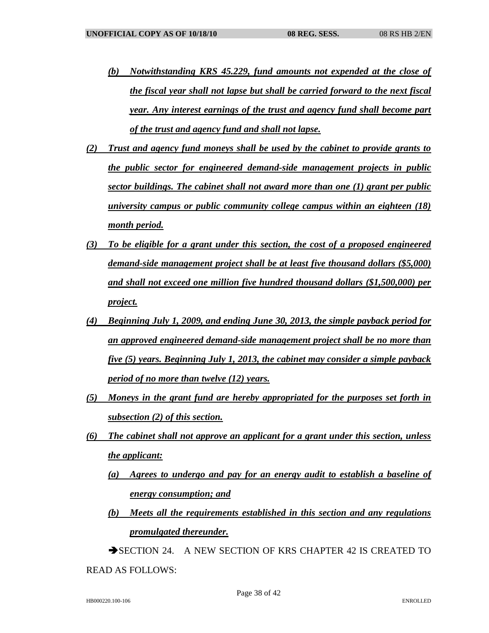- *(b) Notwithstanding KRS 45.229, fund amounts not expended at the close of the fiscal year shall not lapse but shall be carried forward to the next fiscal year. Any interest earnings of the trust and agency fund shall become part of the trust and agency fund and shall not lapse.*
- *(2) Trust and agency fund moneys shall be used by the cabinet to provide grants to the public sector for engineered demand-side management projects in public sector buildings. The cabinet shall not award more than one (1) grant per public university campus or public community college campus within an eighteen (18) month period.*
- *(3) To be eligible for a grant under this section, the cost of a proposed engineered demand-side management project shall be at least five thousand dollars (\$5,000) and shall not exceed one million five hundred thousand dollars (\$1,500,000) per project.*
- *(4) Beginning July 1, 2009, and ending June 30, 2013, the simple payback period for an approved engineered demand-side management project shall be no more than five (5) years. Beginning July 1, 2013, the cabinet may consider a simple payback period of no more than twelve (12) years.*
- *(5) Moneys in the grant fund are hereby appropriated for the purposes set forth in subsection (2) of this section.*
- *(6) The cabinet shall not approve an applicant for a grant under this section, unless the applicant:*
	- *(a) Agrees to undergo and pay for an energy audit to establish a baseline of energy consumption; and*
	- *(b) Meets all the requirements established in this section and any regulations promulgated thereunder.*

SECTION 24 A NEW SECTION OF KRS CHAPTER 42 IS CREATED TO READ AS FOLLOWS: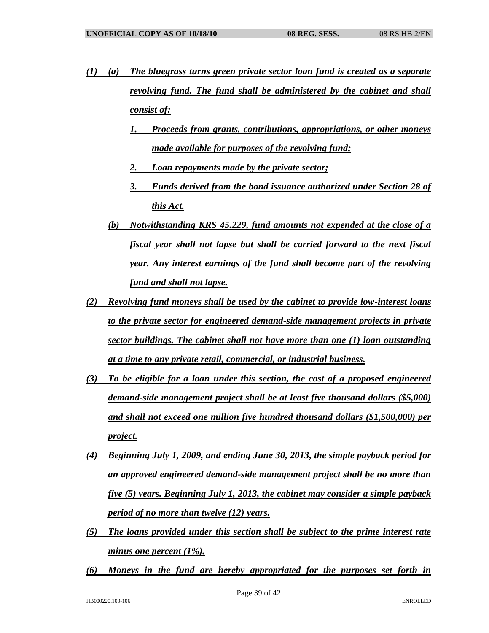- *(1) (a) The bluegrass turns green private sector loan fund is created as a separate revolving fund. The fund shall be administered by the cabinet and shall consist of:*
	- *1. Proceeds from grants, contributions, appropriations, or other moneys made available for purposes of the revolving fund;*
	- *2. Loan repayments made by the private sector;*
	- *3. Funds derived from the bond issuance authorized under Section 28 of this Act.*
	- *(b) Notwithstanding KRS 45.229, fund amounts not expended at the close of a fiscal year shall not lapse but shall be carried forward to the next fiscal year. Any interest earnings of the fund shall become part of the revolving fund and shall not lapse.*
- *(2) Revolving fund moneys shall be used by the cabinet to provide low-interest loans to the private sector for engineered demand-side management projects in private sector buildings. The cabinet shall not have more than one (1) loan outstanding at a time to any private retail, commercial, or industrial business.*
- *(3) To be eligible for a loan under this section, the cost of a proposed engineered demand-side management project shall be at least five thousand dollars (\$5,000) and shall not exceed one million five hundred thousand dollars (\$1,500,000) per project.*
- *(4) Beginning July 1, 2009, and ending June 30, 2013, the simple payback period for an approved engineered demand-side management project shall be no more than five (5) years. Beginning July 1, 2013, the cabinet may consider a simple payback period of no more than twelve (12) years.*
- *(5) The loans provided under this section shall be subject to the prime interest rate minus one percent (1%).*
- *(6) Moneys in the fund are hereby appropriated for the purposes set forth in*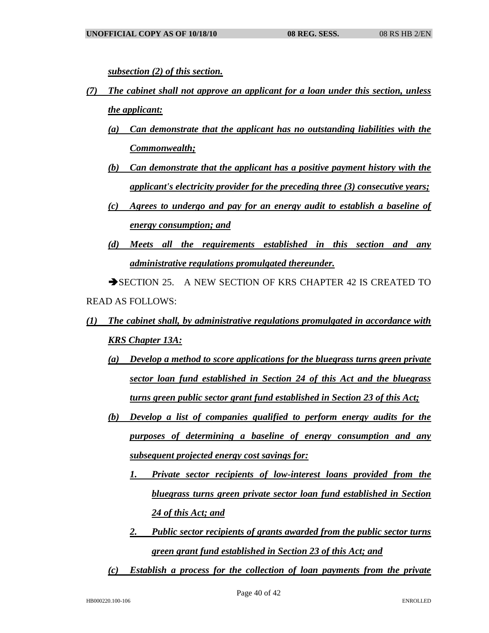*subsection (2) of this section.*

- *(7) The cabinet shall not approve an applicant for a loan under this section, unless the applicant:*
	- *(a) Can demonstrate that the applicant has no outstanding liabilities with the Commonwealth;*
	- *(b) Can demonstrate that the applicant has a positive payment history with the applicant's electricity provider for the preceding three (3) consecutive years;*
	- *(c) Agrees to undergo and pay for an energy audit to establish a baseline of energy consumption; and*
	- *(d) Meets all the requirements established in this section and any administrative regulations promulgated thereunder.*

SECTION 25. A NEW SECTION OF KRS CHAPTER 42 IS CREATED TO READ AS FOLLOWS:

- *(1) The cabinet shall, by administrative regulations promulgated in accordance with KRS Chapter 13A:*
	- *(a) Develop a method to score applications for the bluegrass turns green private sector loan fund established in Section 24 of this Act and the bluegrass turns green public sector grant fund established in Section 23 of this Act;*
	- *(b) Develop a list of companies qualified to perform energy audits for the purposes of determining a baseline of energy consumption and any subsequent projected energy cost savings for:*
		- *1. Private sector recipients of low-interest loans provided from the bluegrass turns green private sector loan fund established in Section 24 of this Act; and*
		- *2. Public sector recipients of grants awarded from the public sector turns green grant fund established in Section 23 of this Act; and*
	- *(c) Establish a process for the collection of loan payments from the private*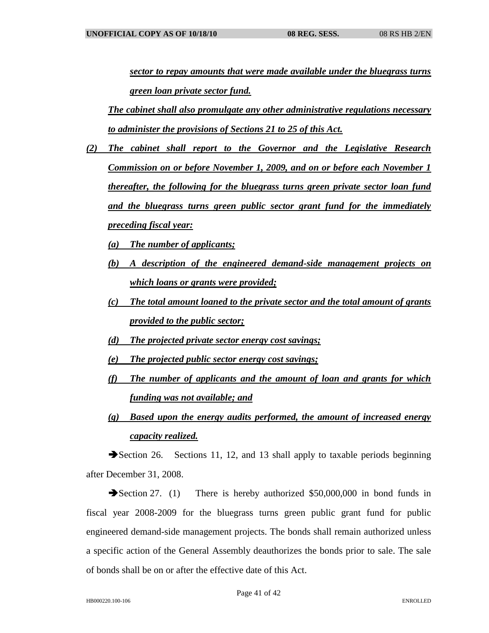*sector to repay amounts that were made available under the bluegrass turns green loan private sector fund.*

*The cabinet shall also promulgate any other administrative regulations necessary to administer the provisions of Sections 21 to 25 of this Act.*

- *(2) The cabinet shall report to the Governor and the Legislative Research Commission on or before November 1, 2009, and on or before each November 1 thereafter, the following for the bluegrass turns green private sector loan fund and the bluegrass turns green public sector grant fund for the immediately preceding fiscal year:*
	- *(a) The number of applicants;*
	- *(b) A description of the engineered demand-side management projects on which loans or grants were provided;*
	- *(c) The total amount loaned to the private sector and the total amount of grants provided to the public sector;*
	- *(d) The projected private sector energy cost savings;*
	- *(e) The projected public sector energy cost savings;*
	- *(f) The number of applicants and the amount of loan and grants for which funding was not available; and*
	- *(g) Based upon the energy audits performed, the amount of increased energy capacity realized.*

Section 26. Sections 11, 12, and 13 shall apply to taxable periods beginning after December 31, 2008.

Section 27. (1) There is hereby authorized  $$50,000,000$  in bond funds in fiscal year 2008-2009 for the bluegrass turns green public grant fund for public engineered demand-side management projects. The bonds shall remain authorized unless a specific action of the General Assembly deauthorizes the bonds prior to sale. The sale of bonds shall be on or after the effective date of this Act.